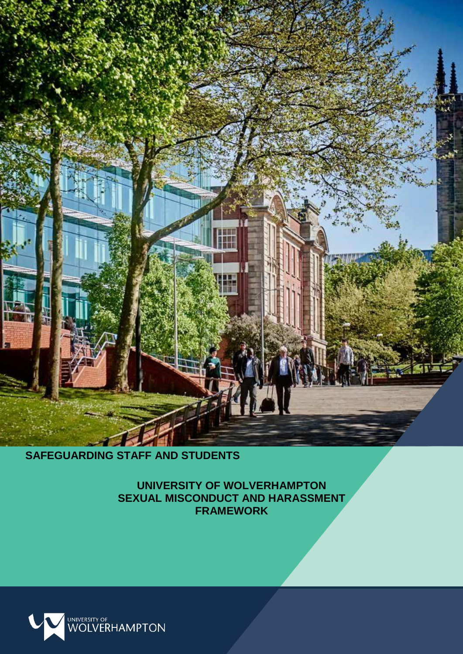

# **SAFEGUARDING STAFF AND STUDENTS**

**UNIVERSITY OF WOLVERHAMPTON SEXUAL MISCONDUCT AND HARASSMENT FRAMEWORK**

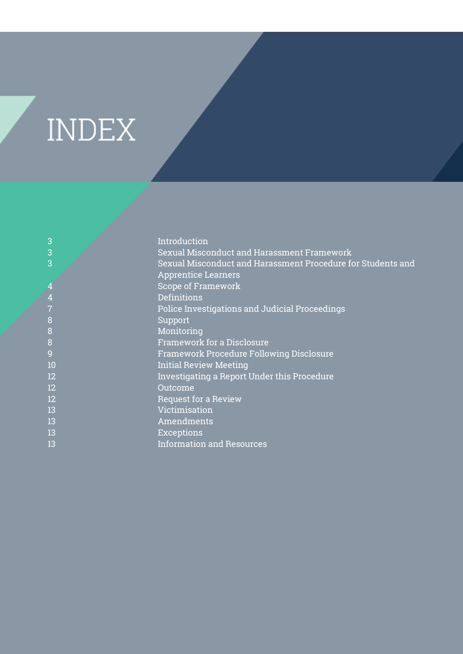# **INDEX**

| 3              | Introduction                                                |
|----------------|-------------------------------------------------------------|
| 3              | Sexual Misconduct and Harassment Framework                  |
| 3              | Sexual Misconduct and Harassment Procedure for Students and |
|                | <b>Apprentice Learners</b>                                  |
|                | <b>Scope of Framework</b>                                   |
| $\overline{4}$ | <b>Definitions</b>                                          |
|                | Police Investigations and Judicial Proceedings              |
| 8              | Support                                                     |
| 8              | Monitoring                                                  |
| 8              | <b>Framework for a Disclosure</b>                           |
| 9              | <b>Framework Procedure Following Disclosure</b>             |
| 10             | <b>Initial Review Meeting</b>                               |
| 12             | Investigating a Report Under this Procedure                 |
| 12             | Outcome                                                     |
| 12             | <b>Request for a Review</b>                                 |
| 13             | Victimisation                                               |
| 13             | Amendments                                                  |
| 13             | <b>Exceptions</b>                                           |
| 13             | <b>Information and Resources</b>                            |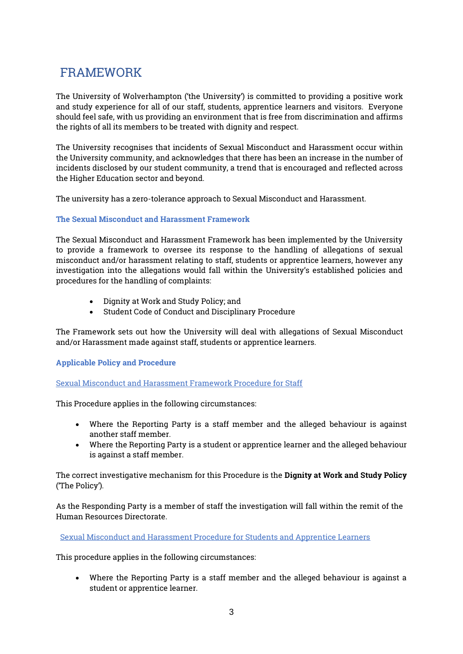# FRAMEWORK

The University of Wolverhampton ('the University') is committed to providing a positive work and study experience for all of our staff, students, apprentice learners and visitors. Everyone should feel safe, with us providing an environment that is free from discrimination and affirms the rights of all its members to be treated with dignity and respect.

The University recognises that incidents of Sexual Misconduct and Harassment occur within the University community, and acknowledges that there has been an increase in the number of incidents disclosed by our student community, a trend that is encouraged and reflected across the Higher Education sector and beyond.

The university has a zero-tolerance approach to Sexual Misconduct and Harassment.

## The Sexual Misconduct and Harassment Framework

The Sexual Misconduct and Harassment Framework has been implemented by the University to provide a framework to oversee its response to the handling of allegations of sexual misconduct and/or harassment relating to staff, students or apprentice learners, however any investigation into the allegations would fall within the University's established policies and procedures for the handling of complaints:

- Dignity at Work and Study Policy; and
- Student Code of Conduct and Disciplinary Procedure

The Framework sets out how the University will deal with allegations of Sexual Misconduct and/or Harassment made against staff, students or apprentice learners.

# Applicable Policy and Procedure

Sexual Misconduct and Harassment Framework Procedure for Staff

This Procedure applies in the following circumstances:

- Where the Reporting Party is a staff member and the alleged behaviour is against another staff member.
- Where the Reporting Party is a student or apprentice learner and the alleged behaviour is against a staff member.

The correct investigative mechanism for this Procedure is the Dignity at Work and Study Policy ('The Policy').

As the Responding Party is a member of staff the investigation will fall within the remit of the Human Resources Directorate.

Sexual Misconduct and Harassment Procedure for Students and Apprentice Learners

This procedure applies in the following circumstances:

 Where the Reporting Party is a staff member and the alleged behaviour is against a student or apprentice learner.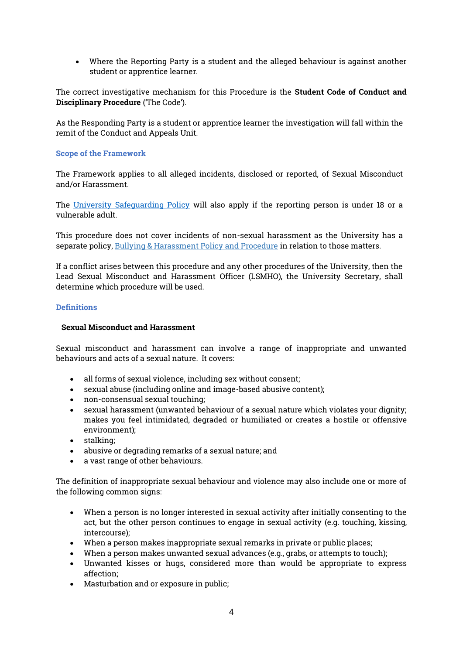Where the Reporting Party is a student and the alleged behaviour is against another student or apprentice learner.

The correct investigative mechanism for this Procedure is the Student Code of Conduct and Disciplinary Procedure ('The Code').

As the Responding Party is a student or apprentice learner the investigation will fall within the remit of the Conduct and Appeals Unit.

#### Scope of the Framework

The Framework applies to all alleged incidents, disclosed or reported, of Sexual Misconduct and/or Harassment.

The [University Safeguarding Policy](https://www.wlv.ac.uk/about-us/corporate-information/safeguarding/) will also apply if the reporting person is under 18 or a vulnerable adult.

This procedure does not cover incidents of non-sexual harassment as the University has a separate policy, Bullying & Harassment Policy and Procedure in relation to those matters.

If a conflict arises between this procedure and any other procedures of the University, then the Lead Sexual Misconduct and Harassment Officer (LSMHO), the University Secretary, shall determine which procedure will be used.

#### **Definitions**

#### Sexual Misconduct and Harassment

Sexual misconduct and harassment can involve a range of inappropriate and unwanted behaviours and acts of a sexual nature. It covers:

- all forms of sexual violence, including sex without consent;
- sexual abuse (including online and image-based abusive content);
- non-consensual sexual touching;
- sexual harassment (unwanted behaviour of a sexual nature which violates your dignity; makes you feel intimidated, degraded or humiliated or creates a hostile or offensive environment);
- stalking:
- abusive or degrading remarks of a sexual nature; and
- a vast range of other behaviours.

The definition of inappropriate sexual behaviour and violence may also include one or more of the following common signs:

- When a person is no longer interested in sexual activity after initially consenting to the act, but the other person continues to engage in sexual activity (e.g. touching, kissing, intercourse);
- When a person makes inappropriate sexual remarks in private or public places;
- When a person makes unwanted sexual advances (e.g., grabs, or attempts to touch);
- Unwanted kisses or hugs, considered more than would be appropriate to express affection;
- Masturbation and or exposure in public;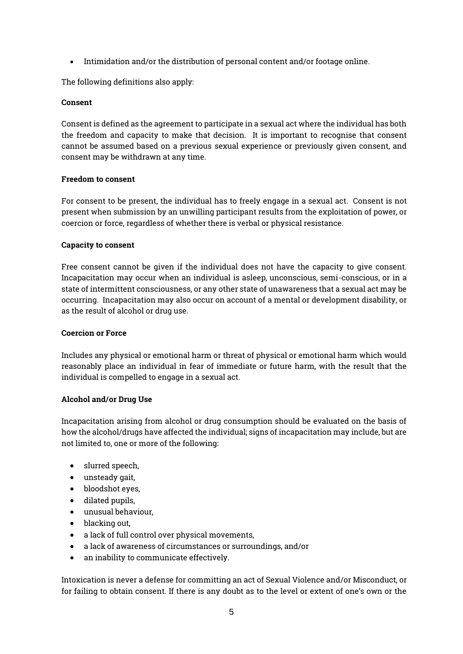Intimidation and/or the distribution of personal content and/or footage online.

The following definitions also apply:

# Consent

Consent is defined as the agreement to participate in a sexual act where the individual has both the freedom and capacity to make that decision. It is important to recognise that consent cannot be assumed based on a previous sexual experience or previously given consent, and consent may be withdrawn at any time.

## Freedom to consent

For consent to be present, the individual has to freely engage in a sexual act. Consent is not present when submission by an unwilling participant results from the exploitation of power, or coercion or force, regardless of whether there is verbal or physical resistance.

## Capacity to consent

Free consent cannot be given if the individual does not have the capacity to give consent. Incapacitation may occur when an individual is asleep, unconscious, semi-conscious, or in a state of intermittent consciousness, or any other state of unawareness that a sexual act may be occurring. Incapacitation may also occur on account of a mental or development disability, or as the result of alcohol or drug use.

#### Coercion or Force

Includes any physical or emotional harm or threat of physical or emotional harm which would reasonably place an individual in fear of immediate or future harm, with the result that the individual is compelled to engage in a sexual act.

# Alcohol and/or Drug Use

Incapacitation arising from alcohol or drug consumption should be evaluated on the basis of how the alcohol/drugs have affected the individual; signs of incapacitation may include, but are not limited to, one or more of the following:

- slurred speech,
- unsteady gait,
- bloodshot eyes,
- dilated pupils,
- unusual behaviour,
- blacking out.
- a lack of full control over physical movements,
- a lack of awareness of circumstances or surroundings, and/or
- an inability to communicate effectively.

Intoxication is never a defense for committing an act of Sexual Violence and/or Misconduct, or for failing to obtain consent. If there is any doubt as to the level or extent of one's own or the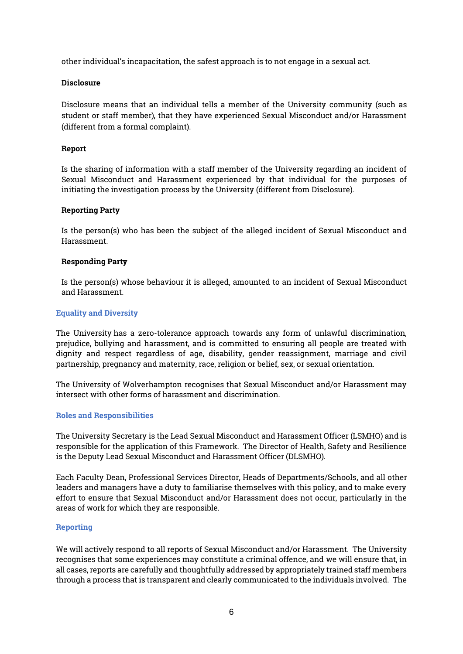other individual's incapacitation, the safest approach is to not engage in a sexual act.

## **Disclosure**

Disclosure means that an individual tells a member of the University community (such as student or staff member), that they have experienced Sexual Misconduct and/or Harassment (different from a formal complaint).

# Report

Is the sharing of information with a staff member of the University regarding an incident of Sexual Misconduct and Harassment experienced by that individual for the purposes of initiating the investigation process by the University (different from Disclosure).

## Reporting Party

Is the person(s) who has been the subject of the alleged incident of Sexual Misconduct and Harassment.

## Responding Party

Is the person(s) whose behaviour it is alleged, amounted to an incident of Sexual Misconduct and Harassment.

## Equality and Diversity

The University has a zero-tolerance approach towards any form of unlawful discrimination, prejudice, bullying and harassment, and is committed to ensuring all people are treated with dignity and respect regardless of age, disability, gender reassignment, marriage and civil partnership, pregnancy and maternity, race, religion or belief, sex, or sexual orientation.

The University of Wolverhampton recognises that Sexual Misconduct and/or Harassment may intersect with other forms of harassment and discrimination.

#### Roles and Responsibilities

The University Secretary is the Lead Sexual Misconduct and Harassment Officer (LSMHO) and is responsible for the application of this Framework. The Director of Health, Safety and Resilience is the Deputy Lead Sexual Misconduct and Harassment Officer (DLSMHO).

Each Faculty Dean, Professional Services Director, Heads of Departments/Schools, and all other leaders and managers have a duty to familiarise themselves with this policy, and to make every effort to ensure that Sexual Misconduct and/or Harassment does not occur, particularly in the areas of work for which they are responsible.

#### Reporting

We will actively respond to all reports of Sexual Misconduct and/or Harassment. The University recognises that some experiences may constitute a criminal offence, and we will ensure that, in all cases, reports are carefully and thoughtfully addressed by appropriately trained staff members through a process that is transparent and clearly communicated to the individuals involved. The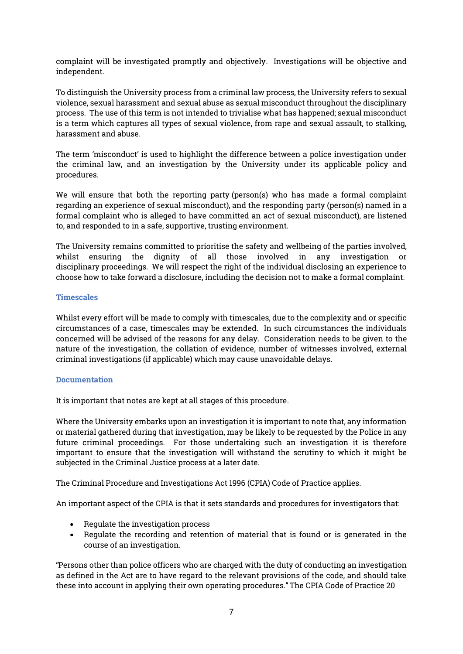complaint will be investigated promptly and objectively. Investigations will be objective and independent.

To distinguish the University process from a criminal law process, the University refers to sexual violence, sexual harassment and sexual abuse as sexual misconduct throughout the disciplinary process. The use of this term is not intended to trivialise what has happened; sexual misconduct is a term which captures all types of sexual violence, from rape and sexual assault, to stalking, harassment and abuse.

The term 'misconduct' is used to highlight the difference between a police investigation under the criminal law, and an investigation by the University under its applicable policy and procedures.

We will ensure that both the reporting party (person(s) who has made a formal complaint regarding an experience of sexual misconduct), and the responding party (person(s) named in a formal complaint who is alleged to have committed an act of sexual misconduct), are listened to, and responded to in a safe, supportive, trusting environment.

The University remains committed to prioritise the safety and wellbeing of the parties involved, whilst ensuring the dignity of all those involved in any investigation or disciplinary proceedings. We will respect the right of the individual disclosing an experience to choose how to take forward a disclosure, including the decision not to make a formal complaint.

## Timescales

Whilst every effort will be made to comply with timescales, due to the complexity and or specific circumstances of a case, timescales may be extended. In such circumstances the individuals concerned will be advised of the reasons for any delay. Consideration needs to be given to the nature of the investigation, the collation of evidence, number of witnesses involved, external criminal investigations (if applicable) which may cause unavoidable delays.

# **Documentation**

It is important that notes are kept at all stages of this procedure.

Where the University embarks upon an investigation it is important to note that, any information or material gathered during that investigation, may be likely to be requested by the Police in any future criminal proceedings. For those undertaking such an investigation it is therefore important to ensure that the investigation will withstand the scrutiny to which it might be subjected in the Criminal Justice process at a later date.

The Criminal Procedure and Investigations Act 1996 (CPIA) Code of Practice applies.

An important aspect of the CPIA is that it sets standards and procedures for investigators that:

- Regulate the investigation process
- Regulate the recording and retention of material that is found or is generated in the course of an investigation.

"Persons other than police officers who are charged with the duty of conducting an investigation as defined in the Act are to have regard to the relevant provisions of the code, and should take these into account in applying their own operating procedures." The CPIA Code of Practice 20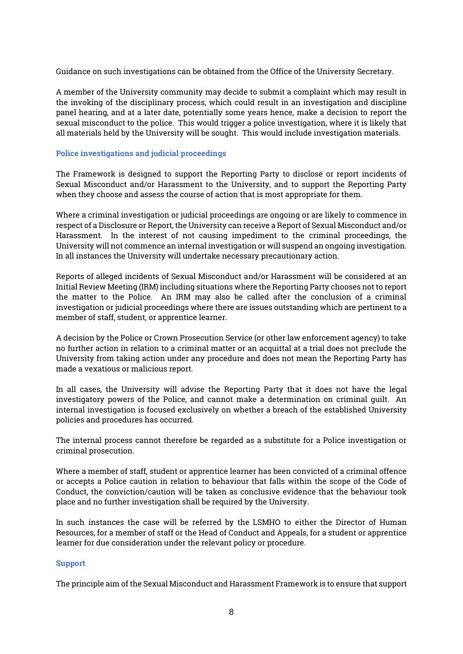Guidance on such investigations can be obtained from the Office of the University Secretary.

A member of the University community may decide to submit a complaint which may result in the invoking of the disciplinary process, which could result in an investigation and discipline panel hearing, and at a later date, potentially some years hence, make a decision to report the sexual misconduct to the police. This would trigger a police investigation, where it is likely that all materials held by the University will be sought. This would include investigation materials.

#### Police investigations and judicial proceedings

The Framework is designed to support the Reporting Party to disclose or report incidents of Sexual Misconduct and/or Harassment to the University, and to support the Reporting Party when they choose and assess the course of action that is most appropriate for them.

Where a criminal investigation or judicial proceedings are ongoing or are likely to commence in respect of a Disclosure or Report, the University can receive a Report of Sexual Misconduct and/or Harassment. In the interest of not causing impediment to the criminal proceedings, the University will not commence an internal investigation or will suspend an ongoing investigation. In all instances the University will undertake necessary precautionary action.

Reports of alleged incidents of Sexual Misconduct and/or Harassment will be considered at an Initial Review Meeting (IRM) including situations where the Reporting Party chooses not to report the matter to the Police. An IRM may also be called after the conclusion of a criminal investigation or judicial proceedings where there are issues outstanding which are pertinent to a member of staff, student, or apprentice learner.

A decision by the Police or Crown Prosecution Service (or other law enforcement agency) to take no further action in relation to a criminal matter or an acquittal at a trial does not preclude the University from taking action under any procedure and does not mean the Reporting Party has made a vexatious or malicious report.

In all cases, the University will advise the Reporting Party that it does not have the legal investigatory powers of the Police, and cannot make a determination on criminal guilt. An internal investigation is focused exclusively on whether a breach of the established University policies and procedures has occurred.

The internal process cannot therefore be regarded as a substitute for a Police investigation or criminal prosecution.

Where a member of staff, student or apprentice learner has been convicted of a criminal offence or accepts a Police caution in relation to behaviour that falls within the scope of the Code of Conduct, the conviction/caution will be taken as conclusive evidence that the behaviour took place and no further investigation shall be required by the University.

In such instances the case will be referred by the LSMHO to either the Director of Human Resources, for a member of staff or the Head of Conduct and Appeals, for a student or apprentice learner for due consideration under the relevant policy or procedure.

## Support

The principle aim of the Sexual Misconduct and Harassment Framework is to ensure that support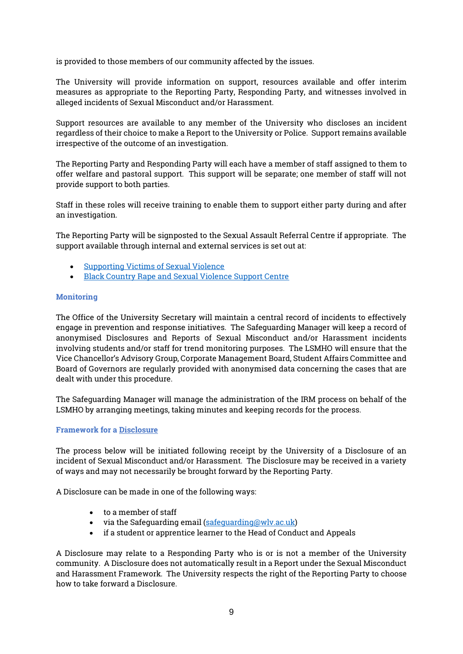is provided to those members of our community affected by the issues.

The University will provide information on support, resources available and offer interim measures as appropriate to the Reporting Party, Responding Party, and witnesses involved in alleged incidents of Sexual Misconduct and/or Harassment.

Support resources are available to any member of the University who discloses an incident regardless of their choice to make a Report to the University or Police. Support remains available irrespective of the outcome of an investigation.

The Reporting Party and Responding Party will each have a member of staff assigned to them to offer welfare and pastoral support. This support will be separate; one member of staff will not provide support to both parties.

Staff in these roles will receive training to enable them to support either party during and after an investigation.

The Reporting Party will be signposted to the Sexual Assault Referral Centre if appropriate. The support available through internal and external services is set out at:

- [Supporting Victims of Sexual Violence](https://www.sv2.org.uk/)
- [Black Country Rape and Sexual Violence Support Centre](https://blackcountrywomensaid.co.uk/services/rape-sexual-violence-services/)

## **Monitoring**

The Office of the University Secretary will maintain a central record of incidents to effectively engage in prevention and response initiatives. The Safeguarding Manager will keep a record of anonymised Disclosures and Reports of Sexual Misconduct and/or Harassment incidents involving students and/or staff for trend monitoring purposes. The LSMHO will ensure that the Vice Chancellor's Advisory Group, Corporate Management Board, Student Affairs Committee and Board of Governors are regularly provided with anonymised data concerning the cases that are dealt with under this procedure.

The Safeguarding Manager will manage the administration of the IRM process on behalf of the LSMHO by arranging meetings, taking minutes and keeping records for the process.

#### Framework for a Disclosure

The process below will be initiated following receipt by the University of a Disclosure of an incident of Sexual Misconduct and/or Harassment. The Disclosure may be received in a variety of ways and may not necessarily be brought forward by the Reporting Party.

A Disclosure can be made in one of the following ways:

- to a member of staff
- via the Safeguarding email [\(safeguarding@wlv.ac.uk\)](mailto:safeguarding@wlv.ac.uk)
- if a student or apprentice learner to the Head of Conduct and Appeals

A Disclosure may relate to a Responding Party who is or is not a member of the University community. A Disclosure does not automatically result in a Report under the Sexual Misconduct and Harassment Framework. The University respects the right of the Reporting Party to choose how to take forward a Disclosure.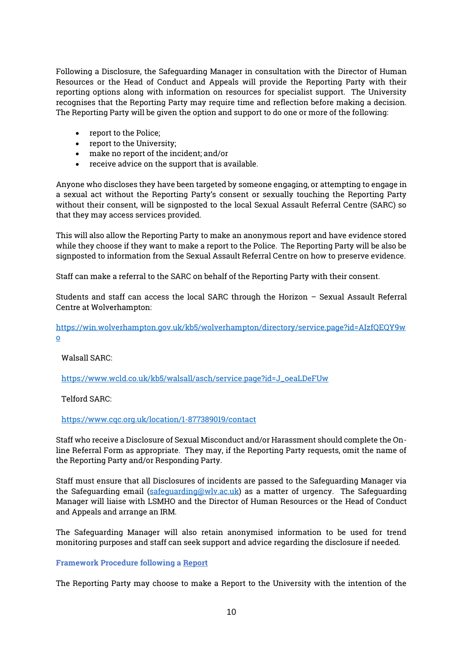Following a Disclosure, the Safeguarding Manager in consultation with the Director of Human Resources or the Head of Conduct and Appeals will provide the Reporting Party with their reporting options along with information on resources for specialist support. The University recognises that the Reporting Party may require time and reflection before making a decision. The Reporting Party will be given the option and support to do one or more of the following:

- report to the Police:
- report to the University;
- make no report of the incident; and/or
- receive advice on the support that is available.

Anyone who discloses they have been targeted by someone engaging, or attempting to engage in a sexual act without the Reporting Party's consent or sexually touching the Reporting Party without their consent, will be signposted to the local Sexual Assault Referral Centre (SARC) so that they may access services provided.

This will also allow the Reporting Party to make an anonymous report and have evidence stored while they choose if they want to make a report to the Police. The Reporting Party will be also be signposted to information from the Sexual Assault Referral Centre on how to preserve evidence.

Staff can make a referral to the SARC on behalf of the Reporting Party with their consent.

Students and staff can access the local SARC through the Horizon – Sexual Assault Referral Centre at Wolverhampton:

[https://win.wolverhampton.gov.uk/kb5/wolverhampton/directory/service.page?id=AIzfQEQY9w](https://win.wolverhampton.gov.uk/kb5/wolverhampton/directory/service.page?id=AIzfQEQY9wo) [o](https://win.wolverhampton.gov.uk/kb5/wolverhampton/directory/service.page?id=AIzfQEQY9wo)

# Walsall SARC:

[https://www.wcld.co.uk/kb5/walsall/asch/service.page?id=J\\_oeaLDeFUw](https://www.wcld.co.uk/kb5/walsall/asch/service.page?id=J_oeaLDeFUw)

Telford SARC:

<https://www.cqc.org.uk/location/1-877389019/contact>

Staff who receive a Disclosure of Sexual Misconduct and/or Harassment should complete the Online Referral Form as appropriate. They may, if the Reporting Party requests, omit the name of the Reporting Party and/or Responding Party.

Staff must ensure that all Disclosures of incidents are passed to the Safeguarding Manager via the Safeguarding email [\(safeguarding@wlv.ac.uk\)](mailto:safeguarding@wlv.ac.uk) as a matter of urgency. The Safeguarding Manager will liaise with LSMHO and the Director of Human Resources or the Head of Conduct and Appeals and arrange an IRM.

The Safeguarding Manager will also retain anonymised information to be used for trend monitoring purposes and staff can seek support and advice regarding the disclosure if needed.

# Framework Procedure following a Report

The Reporting Party may choose to make a Report to the University with the intention of the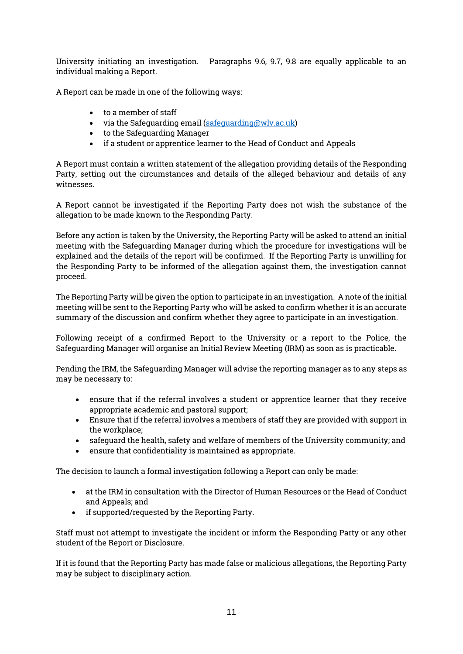University initiating an investigation. Paragraphs 9.6, 9.7, 9.8 are equally applicable to an individual making a Report.

A Report can be made in one of the following ways:

- to a member of staff
- via the Safeguarding email [\(safeguarding@wlv.ac.uk\)](mailto:safeguarding@wlv.ac.uk)
- to the Safeguarding Manager
- if a student or apprentice learner to the Head of Conduct and Appeals

A Report must contain a written statement of the allegation providing details of the Responding Party, setting out the circumstances and details of the alleged behaviour and details of any witnesses.

A Report cannot be investigated if the Reporting Party does not wish the substance of the allegation to be made known to the Responding Party.

Before any action is taken by the University, the Reporting Party will be asked to attend an initial meeting with the Safeguarding Manager during which the procedure for investigations will be explained and the details of the report will be confirmed. If the Reporting Party is unwilling for the Responding Party to be informed of the allegation against them, the investigation cannot proceed.

The Reporting Party will be given the option to participate in an investigation. A note of the initial meeting will be sent to the Reporting Party who will be asked to confirm whether it is an accurate summary of the discussion and confirm whether they agree to participate in an investigation.

Following receipt of a confirmed Report to the University or a report to the Police, the Safeguarding Manager will organise an Initial Review Meeting (IRM) as soon as is practicable.

Pending the IRM, the Safeguarding Manager will advise the reporting manager as to any steps as may be necessary to:

- ensure that if the referral involves a student or apprentice learner that they receive appropriate academic and pastoral support;
- Ensure that if the referral involves a members of staff they are provided with support in the workplace;
- safeguard the health, safety and welfare of members of the University community; and
- ensure that confidentiality is maintained as appropriate.

The decision to launch a formal investigation following a Report can only be made:

- at the IRM in consultation with the Director of Human Resources or the Head of Conduct and Appeals; and
- if supported/requested by the Reporting Party.

Staff must not attempt to investigate the incident or inform the Responding Party or any other student of the Report or Disclosure.

If it is found that the Reporting Party has made false or malicious allegations, the Reporting Party may be subject to disciplinary action.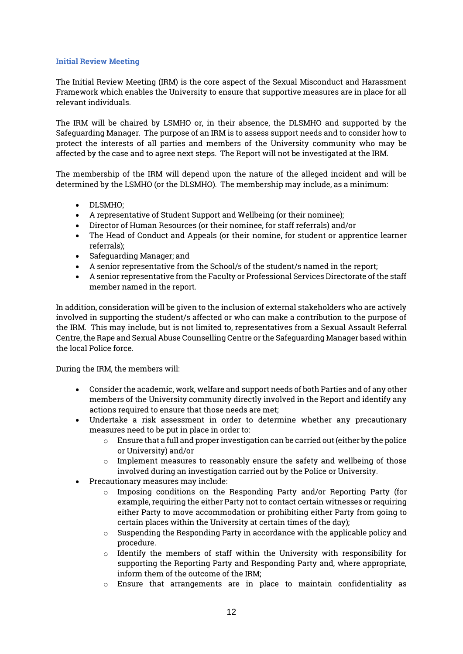#### Initial Review Meeting

The Initial Review Meeting (IRM) is the core aspect of the Sexual Misconduct and Harassment Framework which enables the University to ensure that supportive measures are in place for all relevant individuals.

The IRM will be chaired by LSMHO or, in their absence, the DLSMHO and supported by the Safeguarding Manager. The purpose of an IRM is to assess support needs and to consider how to protect the interests of all parties and members of the University community who may be affected by the case and to agree next steps. The Report will not be investigated at the IRM.

The membership of the IRM will depend upon the nature of the alleged incident and will be determined by the LSMHO (or the DLSMHO). The membership may include, as a minimum:

- DLSMHO;
- A representative of Student Support and Wellbeing (or their nominee);
- Director of Human Resources (or their nominee, for staff referrals) and/or
- The Head of Conduct and Appeals (or their nomine, for student or apprentice learner referrals);
- Safeguarding Manager; and
- A senior representative from the School/s of the student/s named in the report;
- A senior representative from the Faculty or Professional Services Directorate of the staff member named in the report.

In addition, consideration will be given to the inclusion of external stakeholders who are actively involved in supporting the student/s affected or who can make a contribution to the purpose of the IRM. This may include, but is not limited to, representatives from a Sexual Assault Referral Centre, the Rape and Sexual Abuse Counselling Centre or the Safeguarding Manager based within the local Police force.

During the IRM, the members will:

- Consider the academic, work, welfare and support needs of both Parties and of any other members of the University community directly involved in the Report and identify any actions required to ensure that those needs are met;
- Undertake a risk assessment in order to determine whether any precautionary measures need to be put in place in order to:
	- $\circ$  Ensure that a full and proper investigation can be carried out (either by the police or University) and/or
	- $\circ$  Implement measures to reasonably ensure the safety and wellbeing of those involved during an investigation carried out by the Police or University.
- Precautionary measures may include:
	- $\circ$  Imposing conditions on the Responding Party and/or Reporting Party (for example, requiring the either Party not to contact certain witnesses or requiring either Party to move accommodation or prohibiting either Party from going to certain places within the University at certain times of the day);
	- $\circ$  Suspending the Responding Party in accordance with the applicable policy and procedure.
	- $\circ$  Identify the members of staff within the University with responsibility for supporting the Reporting Party and Responding Party and, where appropriate, inform them of the outcome of the IRM;
	- o Ensure that arrangements are in place to maintain confidentiality as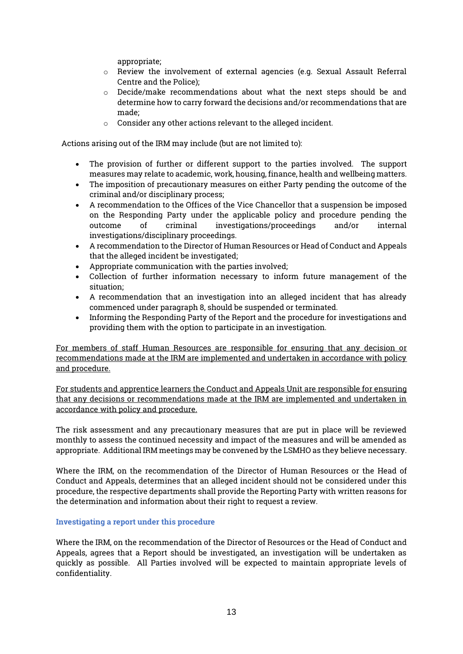appropriate;

- o Review the involvement of external agencies (e.g. Sexual Assault Referral Centre and the Police);
- o Decide/make recommendations about what the next steps should be and determine how to carry forward the decisions and/or recommendations that are made;
- o Consider any other actions relevant to the alleged incident.

Actions arising out of the IRM may include (but are not limited to):

- The provision of further or different support to the parties involved. The support measures may relate to academic, work, housing, finance, health and wellbeing matters.
- The imposition of precautionary measures on either Party pending the outcome of the criminal and/or disciplinary process;
- A recommendation to the Offices of the Vice Chancellor that a suspension be imposed on the Responding Party under the applicable policy and procedure pending the outcome of criminal investigations/proceedings and/or internal investigations/disciplinary proceedings.
- A recommendation to the Director of Human Resources or Head of Conduct and Appeals that the alleged incident be investigated;
- Appropriate communication with the parties involved;
- Collection of further information necessary to inform future management of the situation;
- A recommendation that an investigation into an alleged incident that has already commenced under paragraph 8, should be suspended or terminated.
- Informing the Responding Party of the Report and the procedure for investigations and providing them with the option to participate in an investigation.

For members of staff Human Resources are responsible for ensuring that any decision or recommendations made at the IRM are implemented and undertaken in accordance with policy and procedure.

For students and apprentice learners the Conduct and Appeals Unit are responsible for ensuring that any decisions or recommendations made at the IRM are implemented and undertaken in accordance with policy and procedure.

The risk assessment and any precautionary measures that are put in place will be reviewed monthly to assess the continued necessity and impact of the measures and will be amended as appropriate. Additional IRM meetings may be convened by the LSMHO as they believe necessary.

Where the IRM, on the recommendation of the Director of Human Resources or the Head of Conduct and Appeals, determines that an alleged incident should not be considered under this procedure, the respective departments shall provide the Reporting Party with written reasons for the determination and information about their right to request a review.

# Investigating a report under this procedure

Where the IRM, on the recommendation of the Director of Resources or the Head of Conduct and Appeals, agrees that a Report should be investigated, an investigation will be undertaken as quickly as possible. All Parties involved will be expected to maintain appropriate levels of confidentiality.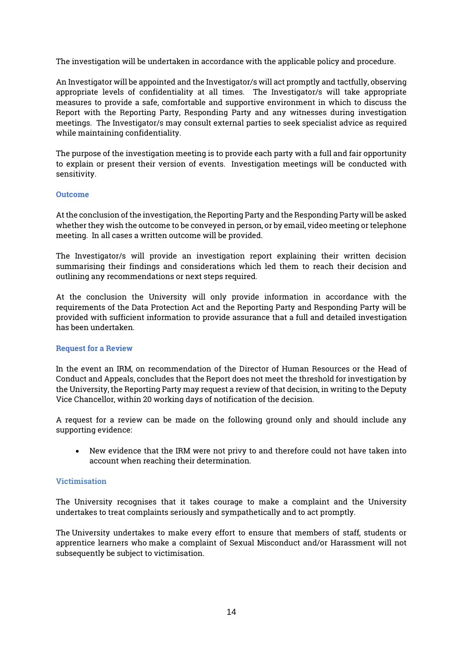The investigation will be undertaken in accordance with the applicable policy and procedure.

An Investigator will be appointed and the Investigator/s will act promptly and tactfully, observing appropriate levels of confidentiality at all times. The Investigator/s will take appropriate measures to provide a safe, comfortable and supportive environment in which to discuss the Report with the Reporting Party, Responding Party and any witnesses during investigation meetings. The Investigator/s may consult external parties to seek specialist advice as required while maintaining confidentiality.

The purpose of the investigation meeting is to provide each party with a full and fair opportunity to explain or present their version of events. Investigation meetings will be conducted with sensitivity.

#### Outcome

At the conclusion of the investigation, the Reporting Party and the Responding Party will be asked whether they wish the outcome to be conveyed in person, or by email, video meeting or telephone meeting. In all cases a written outcome will be provided.

The Investigator/s will provide an investigation report explaining their written decision summarising their findings and considerations which led them to reach their decision and outlining any recommendations or next steps required.

At the conclusion the University will only provide information in accordance with the requirements of the Data Protection Act and the Reporting Party and Responding Party will be provided with sufficient information to provide assurance that a full and detailed investigation has been undertaken.

#### Request for a Review

In the event an IRM, on recommendation of the Director of Human Resources or the Head of Conduct and Appeals, concludes that the Report does not meet the threshold for investigation by the University, the Reporting Party may request a review of that decision, in writing to the Deputy Vice Chancellor, within 20 working days of notification of the decision.

A request for a review can be made on the following ground only and should include any supporting evidence:

 New evidence that the IRM were not privy to and therefore could not have taken into account when reaching their determination.

#### **Victimisation**

The University recognises that it takes courage to make a complaint and the University undertakes to treat complaints seriously and sympathetically and to act promptly.

The University undertakes to make every effort to ensure that members of staff, students or apprentice learners who make a complaint of Sexual Misconduct and/or Harassment will not subsequently be subject to victimisation.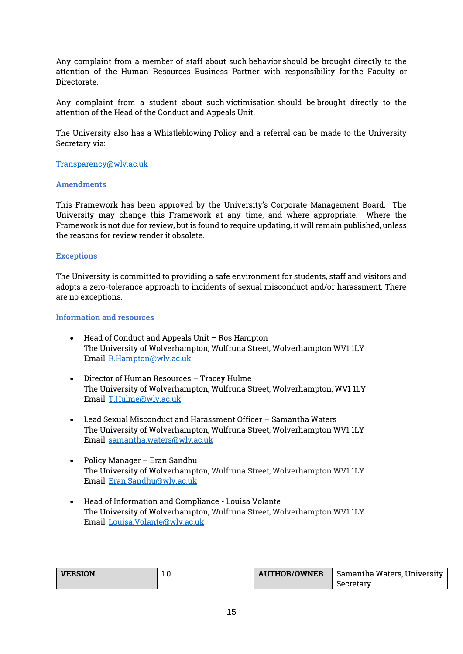Any complaint from a member of staff about such behavior should be brought directly to the attention of the Human Resources Business Partner with responsibility for the Faculty or Directorate.

Any complaint from a student about such victimisation should be brought directly to the attention of the Head of the Conduct and Appeals Unit.

The University also has a Whistleblowing Policy and a referral can be made to the University Secretary via:

### [Transparency@wlv.ac.uk](mailto:Transparency@wlv.ac.uk)

# **Amendments**

This Framework has been approved by the University's Corporate Management Board. The University may change this Framework at any time, and where appropriate. Where the Framework is not due for review, but is found to require updating, it will remain published, unless the reasons for review render it obsolete.

## **Exceptions**

The University is committed to providing a safe environment for students, staff and visitors and adopts a zero-tolerance approach to incidents of sexual misconduct and/or harassment. There are no exceptions.

#### Information and resources

- Head of Conduct and Appeals Unit Ros Hampton The University of Wolverhampton, Wulfruna Street, Wolverhampton WV1 1LY Email: [R.Hampton@wlv.ac.uk](mailto:R.Hampton@wlv.ac.uk)
- Director of Human Resources Tracey Hulme The University of Wolverhampton, Wulfruna Street, Wolverhampton, WV1 1LY Email: [T.Hulme@wlv.ac.uk](mailto:T.Hulme@wlv.ac.uk)
- Lead Sexual Misconduct and Harassment Officer Samantha Waters The University of Wolverhampton, Wulfruna Street, Wolverhampton WV1 1LY Email: [samantha.waters@wlv.ac.uk](mailto:samantha.waters@wlv.ac.uk)
- Policy Manager Eran Sandhu The University of Wolverhampton, Wulfruna Street, Wolverhampton WV1 1LY Email: [Eran.Sandhu@wlv.ac.uk](mailto:Eran.Sandhu@wlv.ac.uk)
- Head of Information and Compliance Louisa Volante The University of Wolverhampton, Wulfruna Street, Wolverhampton WV1 1LY Email: [Louisa.Volante@wlv.ac.uk](mailto:Louisa.Volante@wlv.ac.uk)

| <b>VERSION</b> | $\pm 0$ | <b>AUTHOR/OWNER</b> | Samantha Waters, University |
|----------------|---------|---------------------|-----------------------------|
|                |         |                     | Secretary                   |